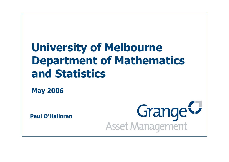# **University of Melbourne Department of Mathematics and Statistics**

**May 2006**

**Paul O'Halloran**

Grange<sup>C</sup>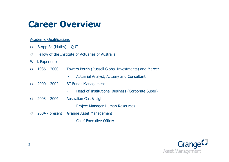#### **Career Overview**

#### Academic Qualifications

- B.App.Sc (Maths) QUT O
- Fellow of the Institute of Actuaries of Australia O

#### Work Experience

- 1986 2000: Towers Perrin (Russell Global Investments) and Mercer  $\sigma$ 
	- Actuarial Analyst, Actuary and Consultant
- 2000 2002: BT Funds Management O
	- Head of Institutional Business (Corporate Super)
- 2003 2004: Australian Gas & Light O
	- Project Manager Human Resources
- 2004 present : Grange Asset Management  $\sigma$ 
	- **Chief Executive Officer**

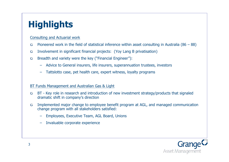## **Highlights**

Consulting and Actuarial work

- Pioneered work in the field of statistical inference within asset consulting in Australia ( $86 88$ ) O.
- Involvement in significant financial projects: (Yoy Lang B privatisation) O
- Breadth and variety were the key ("Financial Engineer"): O
	- Advice to General insurers, life insurers, superannuation trustees, investors
	- Tattslotto case, pet health care, expert witness, loyalty programs

#### BT Funds Management and Australian Gas & Light

- BT Key role in research and introduction of new investment strategy/products that signaled O. dramatic shift in company's direction
- Implemented major change to employee benefit program at AGL, and managed communication  $\sigma$ change program with all stakeholders satisfied:
	- Employees, Executive Team, AGL Board, Unions
	- Invaluable corporate experience

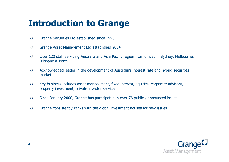### **Introduction to Grange**

- Grange Securities Ltd established since 1995  $\sigma$
- Grange Asset Management Ltd established 2004  $\sigma$
- Over 120 staff servicing Australia and Asia Pacific region from offices in Sydney, Melbourne,  $\sigma$ Brisbane & Perth
- Acknowledged leader in the development of Australia's interest rate and hybrid securities  $\sigma$ market
- $\sigma$ Key business includes asset management, fixed interest, equities, corporate advisory, property investment, private investor services
- Since January 2000, Grange has participated in over 76 publicly announced issues  $\sigma$
- $\sigma$ Grange consistently ranks with the global investment houses for new issues

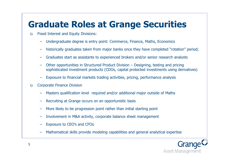### **Graduate Roles at Grange Securities**

- Fixed Interest and Equity Divisions: O
	- Undergraduate degree is entry point: Commerce, Finance, Maths, Economics
	- historically graduates taken from major banks once they have completed "rotation" period;
	- Graduates start as assistants to experienced brokers and/or senior research analysts
	- Other opportunities in Structured Product Division Designing, testing and pricing sophisticated investment products (CDOs, capital protected investments using derivatives)
	- Exposure to financial markets trading activities, pricing, performance analysis
- Corporate Finance Division O
	- Masters qualification level required and/or additional major outside of Maths
	- Recruiting at Grange occurs on an opportunistic basis
	- More likely to be progression point rather than initial starting point
	- Involvement in M&A activity, corporate balance sheet management
	- Exposure to CEO's and CFOs
	- Mathematical skills provide modeling capabilities and general analytical expertise

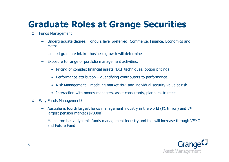### **Graduate Roles at Grange Securities**

- Funds Management O
	- Undergraduate degree, Honours level preferred: Commerce, Finance, Economics and **Maths**
	- Limited graduate intake: business growth will determine
	- Exposure to range of portfolio management activities:
		- Pricing of complex financial assets (DCF techniques, option pricing)
		- Performance attribution quantifying contributors to performance
		- Risk Management modeling market risk, and individual security value at risk
		- Interaction with money managers, asset consultants, planners, trustees
- Why Funds Management?  $\sigma$ 
	- Australia is fourth largest funds management industry in the world (\$1 trillion) and  $5<sup>th</sup>$ largest pension market (\$700bn)
	- Melbourne has a dynamic funds management industry and this will increase through VFMC and Future Fund

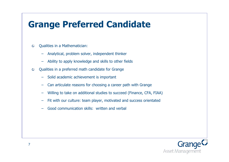#### **Grange Preferred Candidate**

- Qualities in a Mathematician: O
	- Analytical, problem solver, independent thinker
	- Ability to apply knowledge and skills to other fields
- Qualities in a preferred math candidate for Grange O
	- Solid academic achievement is important
	- Can articulate reasons for choosing a career path with Grange
	- Willing to take on additional studies to succeed (Finance, CFA, FIAA)
	- Fit with our culture: team player, motivated and success orientated
	- Good communication skills: written and verbal

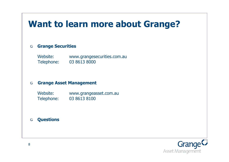